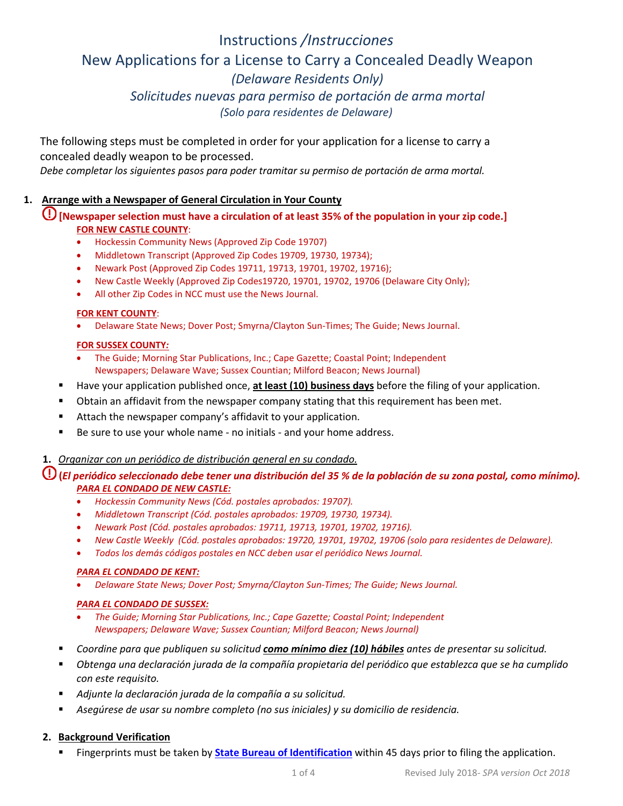# Instructions */Instrucciones* New Applications for a License to Carry a Concealed Deadly Weapon *(Delaware Residents Only) Solicitudes nuevas para permiso de portación de arma mortal (Solo para residentes de Delaware)*

The following steps must be completed in order for your application for a license to carry a concealed deadly weapon to be processed.

*Debe completar los siguientes pasos para poder tramitar su permiso de portación de arma mortal.*

# **1. Arrange with a Newspaper of General Circulation in Your County**

**[Newspaper selection must have a circulation of at least 35% of the population in your zip code.] FOR NEW CASTLE COUNTY**:

- Hockessin Community News (Approved Zip Code 19707)
- Middletown Transcript (Approved Zip Codes 19709, 19730, 19734);
- Newark Post (Approved Zip Codes 19711, 19713, 19701, 19702, 19716);
- New Castle Weekly (Approved Zip Codes19720, 19701, 19702, 19706 (Delaware City Only);
- All other Zip Codes in NCC must use the News Journal.

#### **FOR KENT COUNTY**:

• Delaware State News; Dover Post; Smyrna/Clayton Sun-Times; The Guide; News Journal.

#### **FOR SUSSEX COUNTY***:*

- The Guide; Morning Star Publications, Inc.; Cape Gazette; Coastal Point; Independent Newspapers; Delaware Wave; Sussex Countian; Milford Beacon; News Journal)
- Have your application published once, **at least (10) business days** before the filing of your application.
- Obtain an affidavit from the newspaper company stating that this requirement has been met.
- **E** Attach the newspaper company's affidavit to your application.
- Be sure to use your whole name no initials and your home address.

## **1.** *Organizar con un periódico de distribución general en su condado.*

**(***El periódico seleccionado debe tener una distribución del 35 % de la población de su zona postal, como mínimo). PARA EL CONDADO DE NEW CASTLE:*

- *Hockessin Community News (Cód. postales aprobados: 19707).*
- *Middletown Transcript (Cód. postales aprobados: 19709, 19730, 19734).*
- *Newark Post (Cód. postales aprobados: 19711, 19713, 19701, 19702, 19716).*
- *New Castle Weekly (Cód. postales aprobados: 19720, 19701, 19702, 19706 (solo para residentes de Delaware).*
- *Todos los demás códigos postales en NCC deben usar el periódico News Journal.*

#### *PARA EL CONDADO DE KENT:*

• *Delaware State News; Dover Post; Smyrna/Clayton Sun-Times; The Guide; News Journal.*

## *PARA EL CONDADO DE SUSSEX:*

- *The Guide; Morning Star Publications, Inc.; Cape Gazette; Coastal Point; Independent Newspapers; Delaware Wave; Sussex Countian; Milford Beacon; News Journal)*
- *Coordine para que publiquen su solicitud como mínimo diez (10) hábiles antes de presentar su solicitud.*
- *Obtenga una declaración jurada de la compañía propietaria del periódico que establezca que se ha cumplido con este requisito.*
- *Adjunte la declaración jurada de la compañía a su solicitud.*
- *Asegúrese de usar su nombre completo (no sus iniciales) y su domicilio de residencia.*

## **2. Background Verification**

Fingerprints must be taken by **[State Bureau of Identification](http://dsp.delaware.gov/state_bureau_of_identification.shtml)** within 45 days prior to filing the application.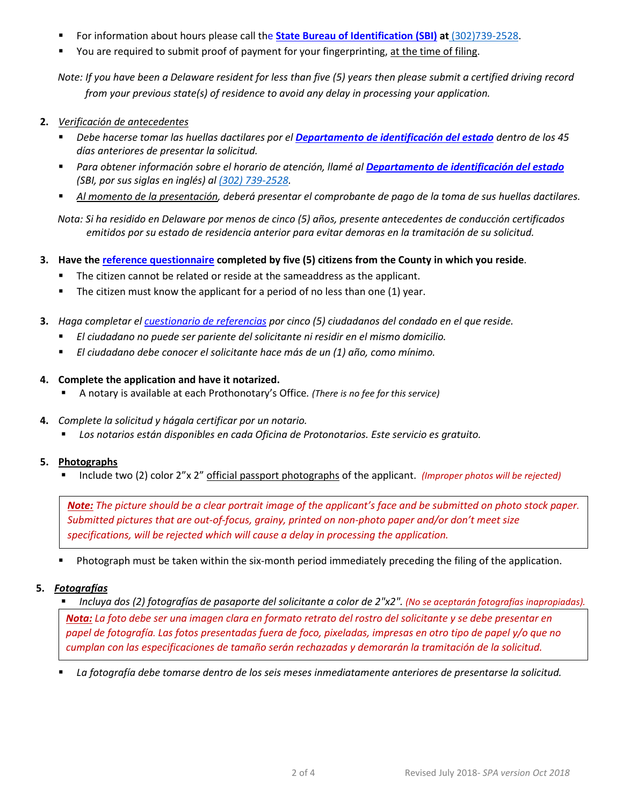- For information about hours please call the **[State Bureau of Identification \(SBI\)](http://dsp.delaware.gov/state_bureau_of_identification.shtml) at** (302)739-2528.
- You are required to submit proof of payment for your fingerprinting, at the time of filing.

*Note: If you have been a Delaware resident for less than five (5) years then please submit a certified driving record from your previous state(s) of residence to avoid any delay in processing your application.*

- **2.** *Verificación de antecedentes*
	- *Debe hacerse tomar las huellas dactilares por el Departamento de identificación del estado dentro de los 45 días anteriores de presentar la solicitud.*
	- *Para obtener información sobre el horario de atención, llamé al Departamento de identificación del estado (SBI, por sus siglas en inglés) al (302) 739-2528.*
	- *Al momento de la presentación, deberá presentar el comprobante de pago de la toma de sus huellas dactilares.*

*Nota: Si ha residido en Delaware por menos de cinco (5) años, presente antecedentes de conducción certificados emitidos por su estado de residencia anterior para evitar demoras en la tramitación de su solicitud.*

- **3. Have the [reference questionnaire](http://courts.delaware.gov/forms/download.aspx?ID=33218) completed by five (5) citizens from the County in which you reside**.
	- The citizen cannot be related or reside at the sameaddress as the applicant.
	- The citizen must know the applicant for a period of no less than one (1) year.
- **3.** *Haga completar el cuestionario de referencias por cinco (5) ciudadanos del condado en el que reside.*
	- *El ciudadano no puede ser pariente del solicitante ni residir en el mismo domicilio.*
	- *El ciudadano debe conocer el solicitante hace más de un (1) año, como mínimo.*

## **4. Complete the application and have it notarized.**

- A notary is available at each Prothonotary's Office*. (There is no fee for this service)*
- **4.** *Complete la solicitud y hágala certificar por un notario.*
	- *Los notarios están disponibles en cada Oficina de Protonotarios. Este servicio es gratuito.*

# **5. Photographs**

Include two (2) color 2"x 2" official passport photographs of the applicant. *(Improper photos will be rejected)*

*Note: The picture should be a clear portrait image of the applicant's face and be submitted on photo stock paper. Submitted pictures that are out-of-focus, grainy, printed on non-photo paper and/or don't meet size specifications, will be rejected which will cause a delay in processing the application.*

Photograph must be taken within the six-month period immediately preceding the filing of the application.

## **5.** *Fotografías*

*Incluya dos (2) fotografías de pasaporte del solicitante a color de 2"x2". (No se aceptarán fotografías inapropiadas).*

*Nota: La foto debe ser una imagen clara en formato retrato del rostro del solicitante y se debe presentar en papel de fotografía. Las fotos presentadas fuera de foco, pixeladas, impresas en otro tipo de papel y/o que no cumplan con las especificaciones de tamaño serán rechazadas y demorarán la tramitación de la solicitud.*

*La fotografía debe tomarse dentro de los seis meses inmediatamente anteriores de presentarse la solicitud.*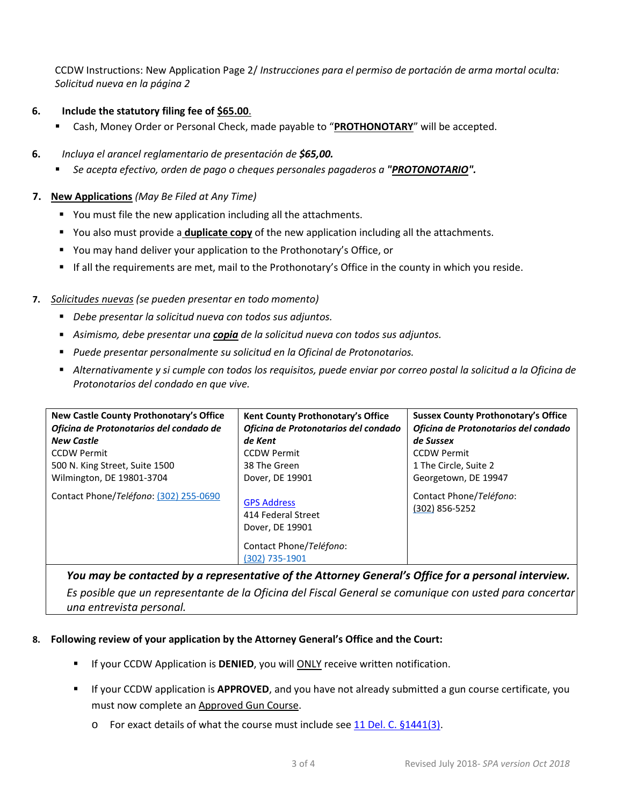CCDW Instructions: New Application Page 2/ *Instrucciones para el permiso de portación de arma mortal oculta: Solicitud nueva en la página 2*

# **6. Include the statutory filing fee of \$65.00**.

- Cash, Money Order or Personal Check, made payable to "**PROTHONOTARY**" will be accepted.
- **6.** *Incluya el arancel reglamentario de presentación de \$65,00.*
	- *Se acepta efectivo, orden de pago o cheques personales pagaderos a "PROTONOTARIO".*

## **7. New Applications** *(May Be Filed at Any Time)*

- You must file the new application including all the attachments.
- You also must provide a **duplicate copy** of the new application including all the attachments.
- You may hand deliver your application to the Prothonotary's Office, or
- If all the requirements are met, mail to the Prothonotary's Office in the county in which you reside.

## **7.** *Solicitudes nuevas (se pueden presentar en todo momento)*

- *Debe presentar la solicitud nueva con todos sus adjuntos.*
- *Asimismo, debe presentar una copia de la solicitud nueva con todos sus adjuntos.*
- *Puede presentar personalmente su solicitud en la Oficinal de Protonotarios.*
- *Alternativamente y si cumple con todos los requisitos, puede enviar por correo postal la solicitud a la Oficina de Protonotarios del condado en que vive.*

| New Castle County Prothonotary's Office<br>Oficina de Protonotarios del condado de<br><b>New Castle</b><br><b>CCDW Permit</b><br>500 N. King Street, Suite 1500<br>Wilmington, DE 19801-3704<br>Contact Phone/Teléfono: (302) 255-0690 | Kent County Prothonotary's Office<br>Oficina de Protonotarios del condado<br>de Kent<br><b>CCDW Permit</b><br>38 The Green<br>Dover, DE 19901<br><b>GPS Address</b> | <b>Sussex County Prothonotary's Office</b><br>Oficina de Protonotarios del condado<br>de Sussex<br><b>CCDW Permit</b><br>1 The Circle, Suite 2<br>Georgetown, DE 19947<br>Contact Phone/Teléfono:<br>(302) 856-5252 |
|----------------------------------------------------------------------------------------------------------------------------------------------------------------------------------------------------------------------------------------|---------------------------------------------------------------------------------------------------------------------------------------------------------------------|---------------------------------------------------------------------------------------------------------------------------------------------------------------------------------------------------------------------|
|                                                                                                                                                                                                                                        | 414 Federal Street<br>Dover, DE 19901                                                                                                                               |                                                                                                                                                                                                                     |
|                                                                                                                                                                                                                                        | Contact Phone/Teléfono:<br>(302) 735-1901                                                                                                                           |                                                                                                                                                                                                                     |

*You may be contacted by a representative of the Attorney General's Office for a personal interview. Es posible que un representante de la Oficina del Fiscal General se comunique con usted para concertar una entrevista personal.* 

## **8. Following review of your application by the Attorney General's Office and the Court:**

- **IF IF your CCDW Application is DENIED, you will ONLY receive written notification.**
- If your CCDW application is **APPROVED**, and you have not already submitted a gun course certificate, you must now complete an **Approved Gun Course**.
	- $\circ$  For exact details of what the course must include see [11 Del. C. §1441\(3\).](http://www.delcode.delaware.gov/title11/c005/sc07/index.shtml#1441)